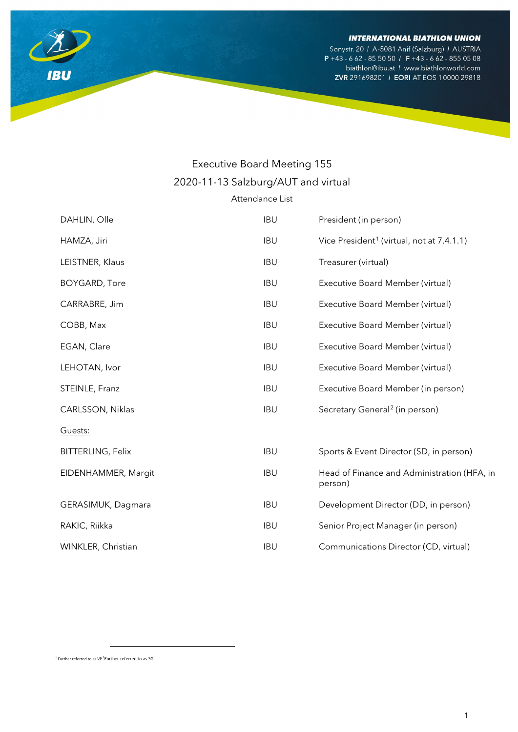Sonystr. 20 / A-5081 Anif (Salzburg) / AUSTRIA P +43 - 6 62 - 85 50 50 / F +43 - 6 62 - 855 05 08 biathlon@ibu.at / www.biathlonworld.com ZVR 291698201 / EORI AT EOS 10000 29818



| Attendance List |
|-----------------|
|-----------------|

| DAHLIN, Olle             | <b>IBU</b> | President (in person)                                  |
|--------------------------|------------|--------------------------------------------------------|
| HAMZA, Jiri              | <b>IBU</b> | Vice President <sup>1</sup> (virtual, not at 7.4.1.1)  |
| LEISTNER, Klaus          | <b>IBU</b> | Treasurer (virtual)                                    |
| <b>BOYGARD, Tore</b>     | <b>IBU</b> | Executive Board Member (virtual)                       |
| CARRABRE, Jim            | <b>IBU</b> | Executive Board Member (virtual)                       |
| COBB, Max                | <b>IBU</b> | Executive Board Member (virtual)                       |
| EGAN, Clare              | <b>IBU</b> | Executive Board Member (virtual)                       |
| LEHOTAN, Ivor            | <b>IBU</b> | Executive Board Member (virtual)                       |
| STEINLE, Franz           | <b>IBU</b> | Executive Board Member (in person)                     |
| CARLSSON, Niklas         | <b>IBU</b> | Secretary General <sup>2</sup> (in person)             |
| Guests:                  |            |                                                        |
| <b>BITTERLING, Felix</b> | <b>IBU</b> | Sports & Event Director (SD, in person)                |
| EIDENHAMMER, Margit      | <b>IBU</b> | Head of Finance and Administration (HFA, in<br>person) |
| GERASIMUK, Dagmara       | <b>IBU</b> | Development Director (DD, in person)                   |
| RAKIC, Riikka            | <b>IBU</b> | Senior Project Manager (in person)                     |
| WINKLER, Christian       | <b>IBU</b> | Communications Director (CD, virtual)                  |

<span id="page-0-1"></span><span id="page-0-0"></span><sup>1</sup> Further referred to as VP <sup>2</sup> Further referred to as SG

**IBU** 

 $\overline{a}$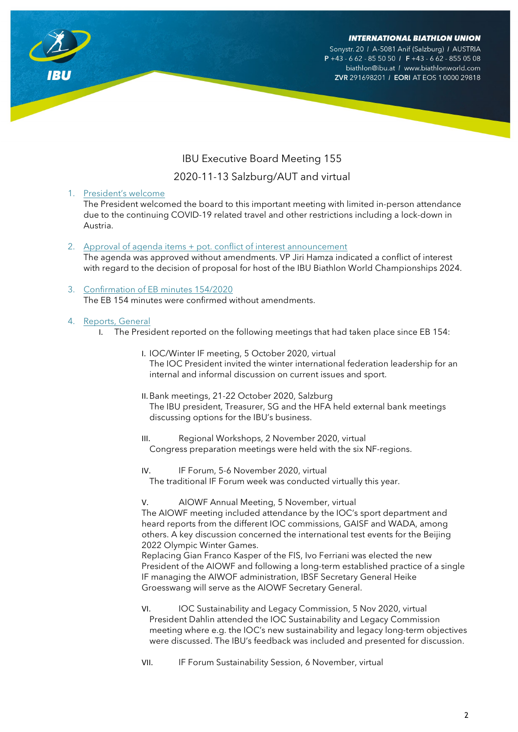Sonystr. 20 / A-5081 Anif (Salzburg) / AUSTRIA  $P + 43 - 662 - 8550501$  F + 43 - 662 - 855 05 08 biathlon@ibu.at / www.biathlonworld.com ZVR 291698201 / EORI AT EOS 10000 29818



# IBU Executive Board Meeting 155

# 2020-11-13 Salzburg/AUT and virtual

1. President's welcome

The President welcomed the board to this important meeting with limited in-person attendance due to the continuing COVID-19 related travel and other restrictions including a lock-down in Austria.

- 2. Approval of agenda items + pot. conflict of interest announcement The agenda was approved without amendments. VP Jiri Hamza indicated a conflict of interest with regard to the decision of proposal for host of the IBU Biathlon World Championships 2024.
- 3. Confirmation of EB minutes 154/2020 The EB 154 minutes were confirmed without amendments.

# 4. Reports, General

- I. The President reported on the following meetings that had taken place since EB 154:
	- I. IOC/Winter IF meeting, 5 October 2020, virtual The IOC President invited the winter international federation leadership for an internal and informal discussion on current issues and sport.
	- II.Bank meetings, 21-22 October 2020, Salzburg The IBU president, Treasurer, SG and the HFA held external bank meetings discussing options for the IBU's business.
	- III. Regional Workshops, 2 November 2020, virtual Congress preparation meetings were held with the six NF-regions.
	- IV. IF Forum, 5-6 November 2020, virtual The traditional IF Forum week was conducted virtually this year.

V. AIOWF Annual Meeting, 5 November, virtual

The AIOWF meeting included attendance by the IOC's sport department and heard reports from the different IOC commissions, GAISF and WADA, among others. A key discussion concerned the international test events for the Beijing 2022 Olympic Winter Games.

Replacing Gian Franco Kasper of the FIS, Ivo Ferriani was elected the new President of the AIOWF and following a long-term established practice of a single IF managing the AIWOF administration, IBSF Secretary General Heike Groesswang will serve as the AIOWF Secretary General.

- VI. IOC Sustainability and Legacy Commission, 5 Nov 2020, virtual President Dahlin attended the IOC Sustainability and Legacy Commission meeting where e.g. the IOC's new sustainability and legacy long-term objectives were discussed. The IBU's feedback was included and presented for discussion.
- VII. IF Forum Sustainability Session, 6 November, virtual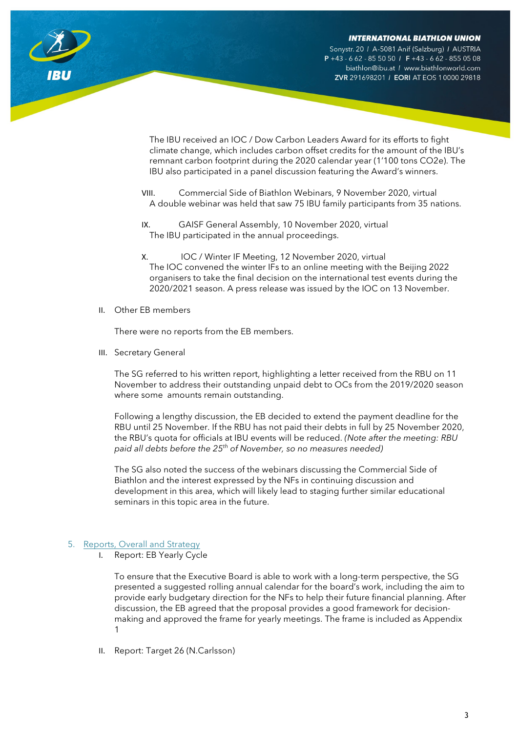Sonystr. 20 / A-5081 Anif (Salzburg) / AUSTRIA  $P + 43 - 662 - 8550501$  F + 43 - 662 - 855 05 08 biathlon@ibu.at / www.biathlonworld.com ZVR 291698201 / EORI AT EOS 10000 29818

The IBU received an IOC / Dow Carbon Leaders Award for its efforts to fight climate change, which includes carbon offset credits for the amount of the IBU's remnant carbon footprint during the 2020 calendar year (1'100 tons CO2e). The IBU also participated in a panel discussion featuring the Award's winners.

- VIII. Commercial Side of Biathlon Webinars, 9 November 2020, virtual A double webinar was held that saw 75 IBU family participants from 35 nations.
- IX. GAISF General Assembly, 10 November 2020, virtual The IBU participated in the annual proceedings.
- X. IOC / Winter IF Meeting, 12 November 2020, virtual The IOC convened the winter IFs to an online meeting with the Beijing 2022 organisers to take the final decision on the international test events during the 2020/2021 season. A press release was issued by the IOC on 13 November.
- II. Other EB members

There were no reports from the EB members.

III. Secretary General

The SG referred to his written report, highlighting a letter received from the RBU on 11 November to address their outstanding unpaid debt to OCs from the 2019/2020 season where some amounts remain outstanding.

Following a lengthy discussion, the EB decided to extend the payment deadline for the RBU until 25 November. If the RBU has not paid their debts in full by 25 November 2020, the RBU's quota for officials at IBU events will be reduced. *(Note after the meeting: RBU paid all debts before the 25th of November, so no measures needed)*

The SG also noted the success of the webinars discussing the Commercial Side of Biathlon and the interest expressed by the NFs in continuing discussion and development in this area, which will likely lead to staging further similar educational seminars in this topic area in the future.

# 5. Reports, Overall and Strategy

I. Report: EB Yearly Cycle

To ensure that the Executive Board is able to work with a long-term perspective, the SG presented a suggested rolling annual calendar for the board's work, including the aim to provide early budgetary direction for the NFs to help their future financial planning. After discussion, the EB agreed that the proposal provides a good framework for decisionmaking and approved the frame for yearly meetings. The frame is included as Appendix 1

II. Report: Target 26 (N.Carlsson)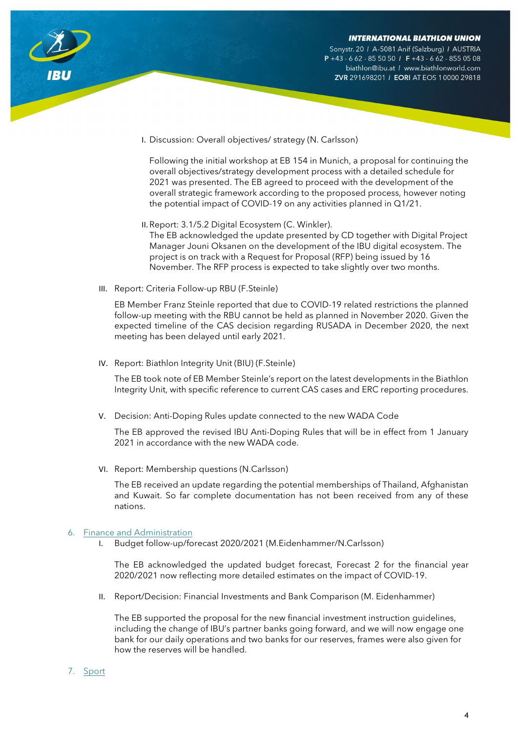Sonystr. 20 / A-5081 Anif (Salzburg) / AUSTRIA  $P + 43 - 662 - 8550501$  F +43 - 662 - 855 05 08 biathlon@ibu.at / www.biathlonworld.com ZVR 291698201 / EORI AT EOS 10000 29818

I. Discussion: Overall objectives/ strategy (N. Carlsson)

Following the initial workshop at EB 154 in Munich, a proposal for continuing the overall objectives/strategy development process with a detailed schedule for 2021 was presented. The EB agreed to proceed with the development of the overall strategic framework according to the proposed process, however noting the potential impact of COVID-19 on any activities planned in Q1/21.

- II.Report: 3.1/5.2 Digital Ecosystem (C. Winkler). The EB acknowledged the update presented by CD together with Digital Project Manager Jouni Oksanen on the development of the IBU digital ecosystem. The project is on track with a Request for Proposal (RFP) being issued by 16 November. The RFP process is expected to take slightly over two months.
- III. Report: Criteria Follow-up RBU (F.Steinle)

EB Member Franz Steinle reported that due to COVID-19 related restrictions the planned follow-up meeting with the RBU cannot be held as planned in November 2020. Given the expected timeline of the CAS decision regarding RUSADA in December 2020, the next meeting has been delayed until early 2021.

IV. Report: Biathlon Integrity Unit (BIU) (F.Steinle)

The EB took note of EB Member Steinle's report on the latest developments in the Biathlon Integrity Unit, with specific reference to current CAS cases and ERC reporting procedures.

V. Decision: Anti-Doping Rules update connected to the new WADA Code

The EB approved the revised IBU Anti-Doping Rules that will be in effect from 1 January 2021 in accordance with the new WADA code.

VI. Report: Membership questions (N.Carlsson)

The EB received an update regarding the potential memberships of Thailand, Afghanistan and Kuwait. So far complete documentation has not been received from any of these nations.

# 6. Finance and Administration

I. Budget follow-up/forecast 2020/2021 (M.Eidenhammer/N.Carlsson)

The EB acknowledged the updated budget forecast, Forecast 2 for the financial year 2020/2021 now reflecting more detailed estimates on the impact of COVID-19.

II. Report/Decision: Financial Investments and Bank Comparison (M. Eidenhammer)

The EB supported the proposal for the new financial investment instruction guidelines, including the change of IBU's partner banks going forward, and we will now engage one bank for our daily operations and two banks for our reserves, frames were also given for how the reserves will be handled.

7. Sport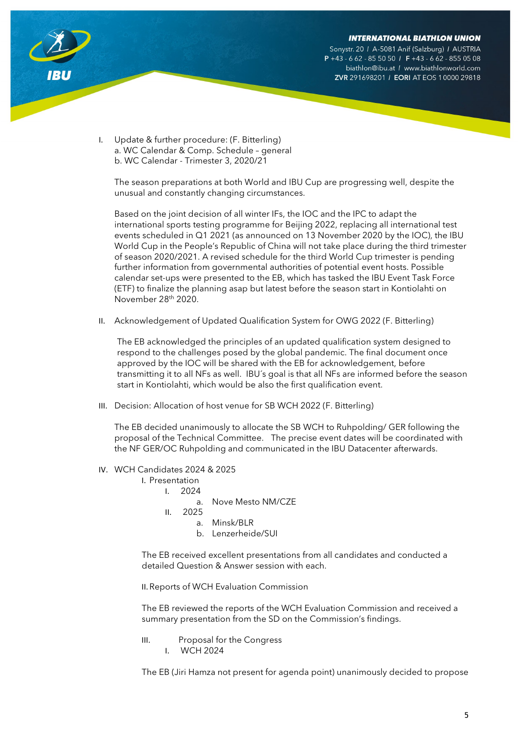Sonystr. 20 / A-5081 Anif (Salzburg) / AUSTRIA  $P + 43 - 662 - 8550501$  F + 43 - 662 - 855 05 08 biathlon@ibu.at / www.biathlonworld.com ZVR 291698201 / EORI AT EOS 10000 29818



I. Update & further procedure: (F. Bitterling) a. WC Calendar & Comp. Schedule – general b. WC Calendar - Trimester 3, 2020/21

The season preparations at both World and IBU Cup are progressing well, despite the unusual and constantly changing circumstances.

Based on the joint decision of all winter IFs, the IOC and the IPC to adapt the international sports testing programme for Beijing 2022, replacing all international test events scheduled in Q1 2021 (as announced on 13 November 2020 by the IOC), the IBU World Cup in the People's Republic of China will not take place during the third trimester of season 2020/2021. A revised schedule for the third World Cup trimester is pending further information from governmental authorities of potential event hosts. Possible calendar set-ups were presented to the EB, which has tasked the IBU Event Task Force (ETF) to finalize the planning asap but latest before the season start in Kontiolahti on November 28th 2020.

II. Acknowledgement of Updated Qualification System for OWG 2022 (F. Bitterling)

The EB acknowledged the principles of an updated qualification system designed to respond to the challenges posed by the global pandemic. The final document once approved by the IOC will be shared with the EB for acknowledgement, before transmitting it to all NFs as well. IBU´s goal is that all NFs are informed before the season start in Kontiolahti, which would be also the first qualification event.

III. Decision: Allocation of host venue for SB WCH 2022 (F. Bitterling)

The EB decided unanimously to allocate the SB WCH to Ruhpolding/ GER following the proposal of the Technical Committee. The precise event dates will be coordinated with the NF GER/OC Ruhpolding and communicated in the IBU Datacenter afterwards.

- IV. WCH Candidates 2024 & 2025
	- I. Presentation
		- I. 2024
			- a. Nove Mesto NM/CZE
		- II. 2025
			- a. Minsk/BLR
			- b. Lenzerheide/SUI

The EB received excellent presentations from all candidates and conducted a detailed Question & Answer session with each.

II.Reports of WCH Evaluation Commission

The EB reviewed the reports of the WCH Evaluation Commission and received a summary presentation from the SD on the Commission's findings.

III. Proposal for the Congress I. WCH 2024

The EB (Jiri Hamza not present for agenda point) unanimously decided to propose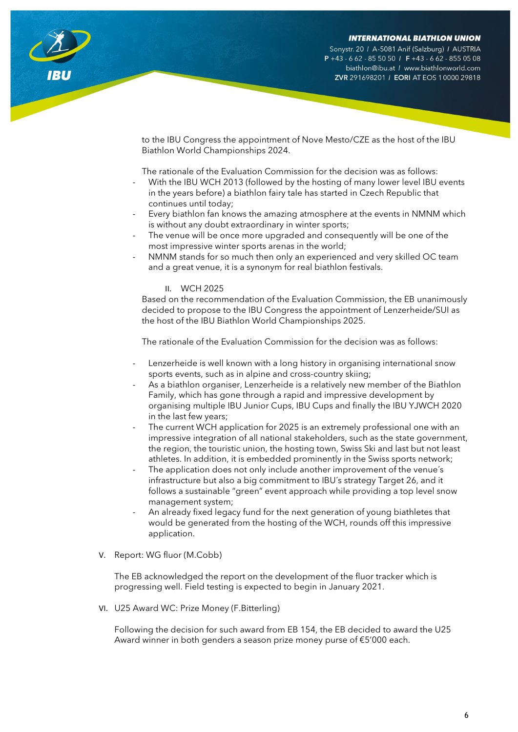Sonystr. 20 / A-5081 Anif (Salzburg) / AUSTRIA  $P + 43 - 662 - 8550501$  F +43 - 662 - 855 05 08 biathlon@ibu.at / www.biathlonworld.com ZVR 291698201 / EORI AT EOS 10000 29818

to the IBU Congress the appointment of Nove Mesto/CZE as the host of the IBU Biathlon World Championships 2024.

The rationale of the Evaluation Commission for the decision was as follows:

- With the IBU WCH 2013 (followed by the hosting of many lower level IBU events in the years before) a biathlon fairy tale has started in Czech Republic that continues until today;
- Every biathlon fan knows the amazing atmosphere at the events in NMNM which is without any doubt extraordinary in winter sports;
- The venue will be once more upgraded and consequently will be one of the most impressive winter sports arenas in the world;
- NMNM stands for so much then only an experienced and very skilled OC team and a great venue, it is a synonym for real biathlon festivals.

### II. WCH 2025

Based on the recommendation of the Evaluation Commission, the EB unanimously decided to propose to the IBU Congress the appointment of Lenzerheide/SUI as the host of the IBU Biathlon World Championships 2025.

The rationale of the Evaluation Commission for the decision was as follows:

- Lenzerheide is well known with a long history in organising international snow sports events, such as in alpine and cross-country skiing;
- As a biathlon organiser, Lenzerheide is a relatively new member of the Biathlon Family, which has gone through a rapid and impressive development by organising multiple IBU Junior Cups, IBU Cups and finally the IBU YJWCH 2020 in the last few years;
- The current WCH application for 2025 is an extremely professional one with an impressive integration of all national stakeholders, such as the state government, the region, the touristic union, the hosting town, Swiss Ski and last but not least athletes. In addition, it is embedded prominently in the Swiss sports network;
- The application does not only include another improvement of the venue's infrastructure but also a big commitment to IBU´s strategy Target 26, and it follows a sustainable "green" event approach while providing a top level snow management system;
- An already fixed legacy fund for the next generation of young biathletes that would be generated from the hosting of the WCH, rounds off this impressive application.
- V. Report: WG fluor (M.Cobb)

The EB acknowledged the report on the development of the fluor tracker which is progressing well. Field testing is expected to begin in January 2021.

VI. U25 Award WC: Prize Money (F.Bitterling)

Following the decision for such award from EB 154, the EB decided to award the U25 Award winner in both genders a season prize money purse of €5'000 each.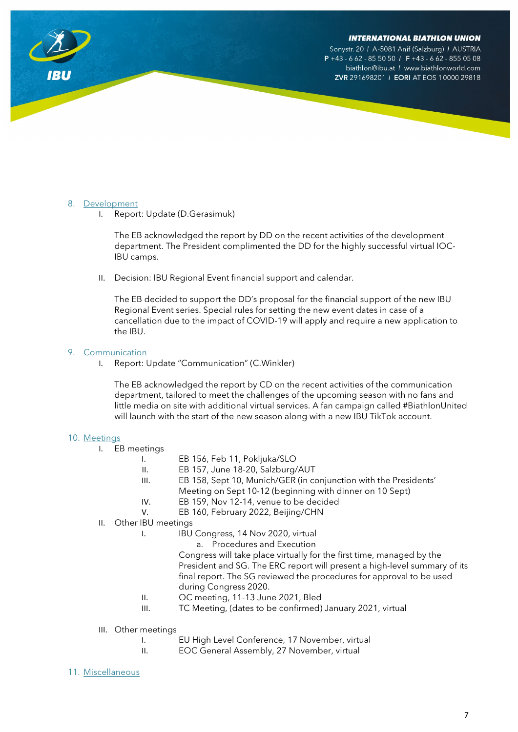Sonystr. 20 / A-5081 Anif (Salzburg) / AUSTRIA  $P + 43 - 662 - 8550501$  F + 43 - 662 - 855 05 08 biathlon@ibu.at / www.biathlonworld.com ZVR 291698201 / EORI AT EOS 10000 29818

# 8. Development

I. Report: Update (D.Gerasimuk)

The EB acknowledged the report by DD on the recent activities of the development department. The President complimented the DD for the highly successful virtual IOC-IBU camps.

II. Decision: IBU Regional Event financial support and calendar.

The EB decided to support the DD's proposal for the financial support of the new IBU Regional Event series. Special rules for setting the new event dates in case of a cancellation due to the impact of COVID-19 will apply and require a new application to the IBU.

# 9. Communication

I. Report: Update "Communication" (C.Winkler)

The EB acknowledged the report by CD on the recent activities of the communication department, tailored to meet the challenges of the upcoming season with no fans and little media on site with additional virtual services. A fan campaign called #BiathlonUnited will launch with the start of the new season along with a new IBU TikTok account.

# 10. Meetings

- I. EB meetings
	- I. EB 156, Feb 11, Pokljuka/SLO
	- II. EB 157, June 18-20, Salzburg/AUT
	- III. EB 158, Sept 10, Munich/GER (in conjunction with the Presidents' Meeting on Sept 10-12 (beginning with dinner on 10 Sept)
	- IV. EB 159, Nov 12-14, venue to be decided
	- V. EB 160, February 2022, Beijing/CHN
- II. Other IBU meetings
	- I. **IBU Congress, 14 Nov 2020, virtual** 
		- a. Procedures and Execution

Congress will take place virtually for the first time, managed by the President and SG. The ERC report will present a high-level summary of its final report. The SG reviewed the procedures for approval to be used during Congress 2020.

- II. OC meeting, 11-13 June 2021, Bled
- III. TC Meeting, (dates to be confirmed) January 2021, virtual
- III. Other meetings
	- I. EU High Level Conference, 17 November, virtual
	- II. EOC General Assembly, 27 November, virtual
- 11. Miscellaneous